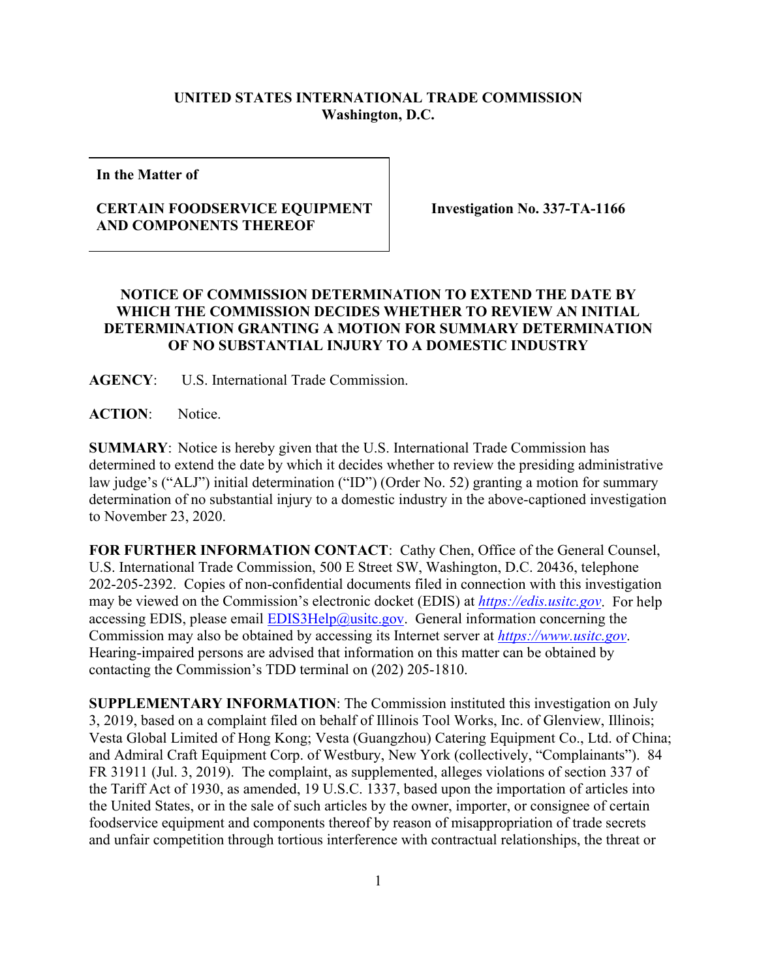## **UNITED STATES INTERNATIONAL TRADE COMMISSION Washington, D.C.**

**In the Matter of**

## **CERTAIN FOODSERVICE EQUIPMENT AND COMPONENTS THEREOF**

**Investigation No. 337-TA-1166**

## **NOTICE OF COMMISSION DETERMINATION TO EXTEND THE DATE BY WHICH THE COMMISSION DECIDES WHETHER TO REVIEW AN INITIAL DETERMINATION GRANTING A MOTION FOR SUMMARY DETERMINATION OF NO SUBSTANTIAL INJURY TO A DOMESTIC INDUSTRY**

**AGENCY**: U.S. International Trade Commission.

**ACTION**: Notice.

**SUMMARY**: Notice is hereby given that the U.S. International Trade Commission has determined to extend the date by which it decides whether to review the presiding administrative law judge's ("ALJ") initial determination ("ID") (Order No. 52) granting a motion for summary determination of no substantial injury to a domestic industry in the above-captioned investigation to November 23, 2020.

**FOR FURTHER INFORMATION CONTACT**: Cathy Chen, Office of the General Counsel, U.S. International Trade Commission, 500 E Street SW, Washington, D.C. 20436, telephone 202-205-2392. Copies of non-confidential documents filed in connection with this investigation may be viewed on the Commission's electronic docket (EDIS) at *[https://edis.usitc.gov](https://edis.usitc.gov/)*. For help accessing EDIS, please email  $EDIS3Help@usite.gov$ . General information concerning the Commission may also be obtained by accessing its Internet server at *[https://www.usitc.gov](https://www.usitc.gov/)*. Hearing-impaired persons are advised that information on this matter can be obtained by contacting the Commission's TDD terminal on (202) 205-1810.

**SUPPLEMENTARY INFORMATION**: The Commission instituted this investigation on July 3, 2019, based on a complaint filed on behalf of Illinois Tool Works, Inc. of Glenview, Illinois; Vesta Global Limited of Hong Kong; Vesta (Guangzhou) Catering Equipment Co., Ltd. of China; and Admiral Craft Equipment Corp. of Westbury, New York (collectively, "Complainants"). 84 FR 31911 (Jul. 3, 2019). The complaint, as supplemented, alleges violations of section 337 of the Tariff Act of 1930, as amended, 19 U.S.C. 1337, based upon the importation of articles into the United States, or in the sale of such articles by the owner, importer, or consignee of certain foodservice equipment and components thereof by reason of misappropriation of trade secrets and unfair competition through tortious interference with contractual relationships, the threat or